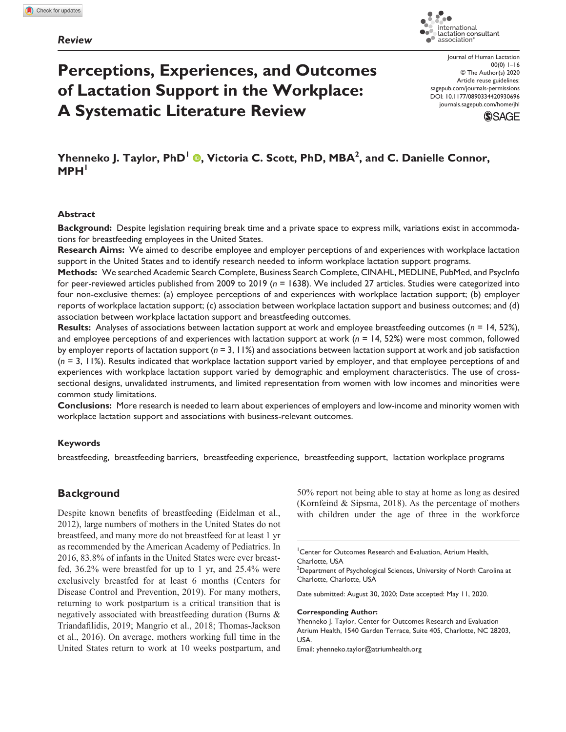# *Review*



# **Perceptions, Experiences, and Outcomes of Lactation Support in the Workplace: A Systematic Literature Review**

Journal of Human Lactation 00(0) 1–16 © The Author(s) 2020 Article reuse guidelines: sagepub.com/journals-permissions DOI: 10.1177/0890334420930696 [journals.sagepub.com/home/jhl](https://journals.sagepub.com/home/jhl)



# **Yhenneko J. Taylor, PhD<sup>I</sup> ©, Victoria C. Scott, PhD, MBA<sup>2</sup>, and C. Danielle Connor, MPH<sup>1</sup>**

## **Abstract**

**Background:** Despite legislation requiring break time and a private space to express milk, variations exist in accommodations for breastfeeding employees in the United States.

**Research Aims:** We aimed to describe employee and employer perceptions of and experiences with workplace lactation support in the United States and to identify research needed to inform workplace lactation support programs.

**Methods:** We searched Academic Search Complete, Business Search Complete, CINAHL, MEDLINE, PubMed, and PsycInfo for peer-reviewed articles published from 2009 to 2019 (*n* = 1638). We included 27 articles. Studies were categorized into four non-exclusive themes: (a) employee perceptions of and experiences with workplace lactation support; (b) employer reports of workplace lactation support; (c) association between workplace lactation support and business outcomes; and (d) association between workplace lactation support and breastfeeding outcomes.

**Results:** Analyses of associations between lactation support at work and employee breastfeeding outcomes (*n* = 14, 52%), and employee perceptions of and experiences with lactation support at work (*n* = 14, 52%) were most common, followed by employer reports of lactation support (*n* = 3, 11%) and associations between lactation support at work and job satisfaction (*n* = 3, 11%). Results indicated that workplace lactation support varied by employer, and that employee perceptions of and experiences with workplace lactation support varied by demographic and employment characteristics. The use of crosssectional designs, unvalidated instruments, and limited representation from women with low incomes and minorities were common study limitations.

**Conclusions:** More research is needed to learn about experiences of employers and low-income and minority women with workplace lactation support and associations with business-relevant outcomes.

### **Keywords**

breastfeeding, breastfeeding barriers, breastfeeding experience, breastfeeding support, lactation workplace programs

# **Background**

Despite known benefits of breastfeeding [\(Eidelman et](#page-13-0) al., [2012](#page-13-0)), large numbers of mothers in the United States do not breastfeed, and many more do not breastfeed for at least 1 yr as recommended by the American Academy of Pediatrics. In 2016, 83.8% of infants in the United States were ever breastfed, 36.2% were breastfed for up to 1 yr, and 25.4% were exclusively breastfed for at least 6 months ([Centers for](#page-13-1) [Disease Control and Prevention, 2019](#page-13-1)). For many mothers, returning to work postpartum is a critical transition that is negatively associated with breastfeeding duration ([Burns &](#page-13-2) [Triandafilidis, 2019](#page-13-2); [Mangrio et](#page-14-0) al., 2018; [Thomas-Jackson](#page-14-1) et [al., 2016](#page-14-1)). On average, mothers working full time in the United States return to work at 10 weeks postpartum, and 50% report not being able to stay at home as long as desired ([Kornfeind & Sipsma, 2018\)](#page-13-3). As the percentage of mothers with children under the age of three in the workforce

Date submitted: August 30, 2020; Date accepted: May 11, 2020.

#### **Corresponding Author:**

Yhenneko J. Taylor, Center for Outcomes Research and Evaluation Atrium Health, 1540 Garden Terrace, Suite 405, Charlotte, NC 28203, USA.

Email: [yhenneko.taylor@atriumhealth.org](mailto:yhenneko.taylor@atriumhealth.org)

<sup>1</sup> Center for Outcomes Research and Evaluation, Atrium Health, Charlotte, USA

 $^{2}$ Department of Psychological Sciences, University of North Carolina at Charlotte, Charlotte, USA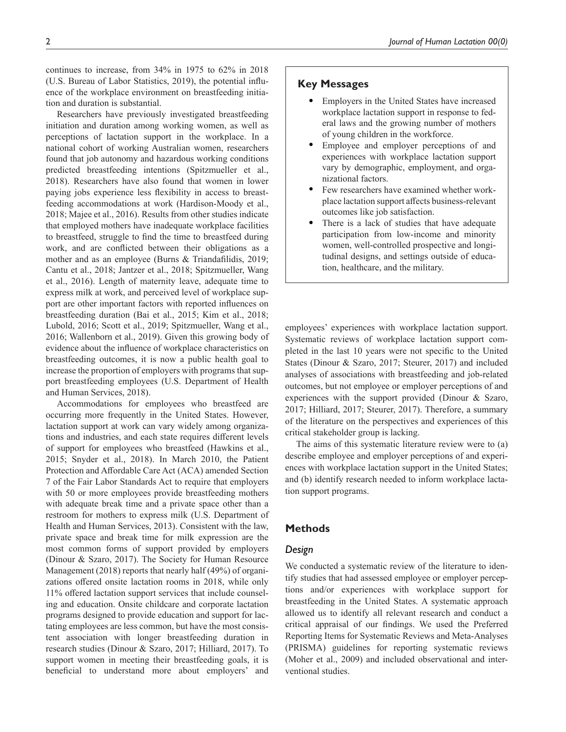continues to increase, from 34% in 1975 to 62% in 2018 ([U.S. Bureau of Labor Statistics, 2019](#page-15-0)), the potential influence of the workplace environment on breastfeeding initiation and duration is substantial.

Researchers have previously investigated breastfeeding initiation and duration among working women, as well as perceptions of lactation support in the workplace. In a national cohort of working Australian women, researchers found that job autonomy and hazardous working conditions predicted breastfeeding intentions [\(Spitzmueller et](#page-14-2) al., [2018\)](#page-14-2). Researchers have also found that women in lower paying jobs experience less flexibility in access to breastfeeding accommodations at work [\(Hardison-Moody et](#page-13-4) al., [2018](#page-13-4); Majee et [al., 2016](#page-14-3)). Results from other studies indicate that employed mothers have inadequate workplace facilities to breastfeed, struggle to find the time to breastfeed during work, and are conflicted between their obligations as a mother and as an employee ([Burns & Triandafilidis, 2019](#page-13-2); Cantu et [al., 2018](#page-13-5); [Jantzer et](#page-13-6) al., 2018; [Spitzmueller, Wang](#page-14-4)  et [al., 2016](#page-14-4)). Length of maternity leave, adequate time to express milk at work, and perceived level of workplace support are other important factors with reported influences on breastfeeding duration (Bai et [al., 2015](#page-13-7); Kim et [al., 2018](#page-13-8); [Lubold, 2016](#page-14-5); Scott et [al., 2019](#page-14-6); [Spitzmueller, Wang et](#page-14-4) al., [2016;](#page-14-4) [Wallenborn et](#page-15-1) al., 2019). Given this growing body of evidence about the influence of workplace characteristics on breastfeeding outcomes, it is now a public health goal to increase the proportion of employers with programs that support breastfeeding employees [\(U.S. Department of Health](#page-15-2)  [and Human Services, 2018](#page-15-2)).

Accommodations for employees who breastfeed are occurring more frequently in the United States. However, lactation support at work can vary widely among organizations and industries, and each state requires different levels of support for employees who breastfeed ([Hawkins et](#page-13-9) al., [2015](#page-13-9); [Snyder et](#page-14-7) al., 2018). In March 2010, the Patient Protection and Affordable Care Act (ACA) amended Section 7 of the Fair Labor Standards Act to require that employers with 50 or more employees provide breastfeeding mothers with adequate break time and a private space other than a restroom for mothers to express milk [\(U.S. Department of](#page-15-3)  [Health and Human Services, 2013](#page-15-3)). Consistent with the law, private space and break time for milk expression are the most common forms of support provided by employers ([Dinour & Szaro, 2017](#page-13-10)). The [Society for Human Resource](#page-14-8)  [Management \(2018\)](#page-14-8) reports that nearly half (49%) of organizations offered onsite lactation rooms in 2018, while only 11% offered lactation support services that include counseling and education. Onsite childcare and corporate lactation programs designed to provide education and support for lactating employees are less common, but have the most consistent association with longer breastfeeding duration in research studies ([Dinour & Szaro, 2017](#page-13-10); [Hilliard, 2017\)](#page-13-11). To support women in meeting their breastfeeding goals, it is beneficial to understand more about employers' and

# **Key Messages**

- Employers in the United States have increased workplace lactation support in response to federal laws and the growing number of mothers of young children in the workforce.
- Employee and employer perceptions of and experiences with workplace lactation support vary by demographic, employment, and organizational factors.
- Few researchers have examined whether workplace lactation support affects business-relevant outcomes like job satisfaction.
- There is a lack of studies that have adequate participation from low-income and minority women, well-controlled prospective and longitudinal designs, and settings outside of education, healthcare, and the military.

employees' experiences with workplace lactation support. Systematic reviews of workplace lactation support completed in the last 10 years were not specific to the United States [\(Dinour & Szaro, 2017](#page-13-10); [Steurer, 2017\)](#page-14-9) and included analyses of associations with breastfeeding and job-related outcomes, but not employee or employer perceptions of and experiences with the support provided ([Dinour & Szaro,](#page-13-10)  [2017](#page-13-10); [Hilliard, 2017](#page-13-11); [Steurer, 2017](#page-14-9)). Therefore, a summary of the literature on the perspectives and experiences of this critical stakeholder group is lacking.

The aims of this systematic literature review were to (a) describe employee and employer perceptions of and experiences with workplace lactation support in the United States; and (b) identify research needed to inform workplace lactation support programs.

# **Methods**

## *Design*

We conducted a systematic review of the literature to identify studies that had assessed employee or employer perceptions and/or experiences with workplace support for breastfeeding in the United States. A systematic approach allowed us to identify all relevant research and conduct a critical appraisal of our findings. We used the Preferred Reporting Items for Systematic Reviews and Meta-Analyses (PRISMA) guidelines for reporting systematic reviews ([Moher et](#page-14-10) al., 2009) and included observational and interventional studies.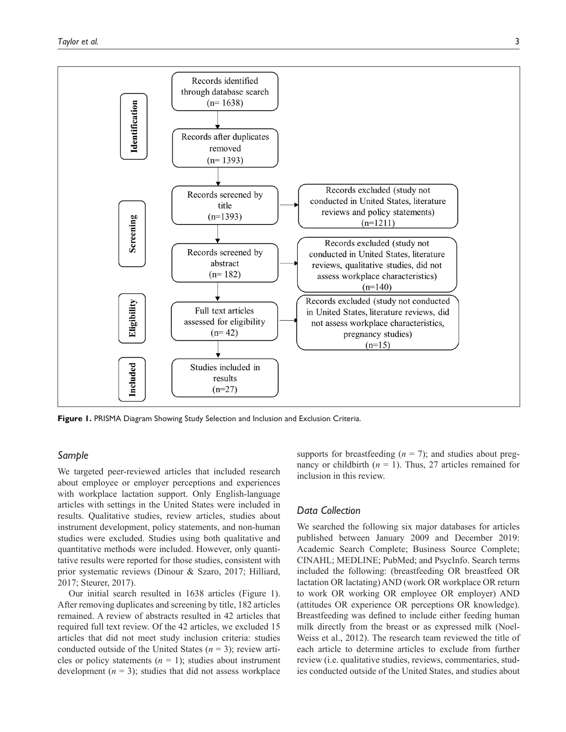

<span id="page-2-0"></span>**Figure 1.** PRISMA Diagram Showing Study Selection and Inclusion and Exclusion Criteria.

# *Sample*

We targeted peer-reviewed articles that included research about employee or employer perceptions and experiences with workplace lactation support. Only English-language articles with settings in the United States were included in results. Qualitative studies, review articles, studies about instrument development, policy statements, and non-human studies were excluded. Studies using both qualitative and quantitative methods were included. However, only quantitative results were reported for those studies, consistent with prior systematic reviews [\(Dinour & Szaro, 2017](#page-13-10); [Hilliard,](#page-13-11) [2017](#page-13-11); [Steurer, 2017](#page-14-9)).

Our initial search resulted in 1638 articles ([Figure](#page-2-0) 1). After removing duplicates and screening by title, 182 articles remained. A review of abstracts resulted in 42 articles that required full text review. Of the 42 articles, we excluded 15 articles that did not meet study inclusion criteria: studies conducted outside of the United States (*n* = 3); review articles or policy statements  $(n = 1)$ ; studies about instrument development  $(n = 3)$ ; studies that did not assess workplace supports for breastfeeding  $(n = 7)$ ; and studies about pregnancy or childbirth  $(n = 1)$ . Thus, 27 articles remained for inclusion in this review.

## *Data Collection*

We searched the following six major databases for articles published between January 2009 and December 2019: Academic Search Complete; Business Source Complete; CINAHL; MEDLINE; PubMed; and PsycInfo. Search terms included the following: (breastfeeding OR breastfeed OR lactation OR lactating) AND (work OR workplace OR return to work OR working OR employee OR employer) AND (attitudes OR experience OR perceptions OR knowledge). Breastfeeding was defined to include either feeding human milk directly from the breast or as expressed milk ([Noel-](#page-14-11)Weiss et [al., 2012\)](#page-14-11). The research team reviewed the title of each article to determine articles to exclude from further review (i.e. qualitative studies, reviews, commentaries, studies conducted outside of the United States, and studies about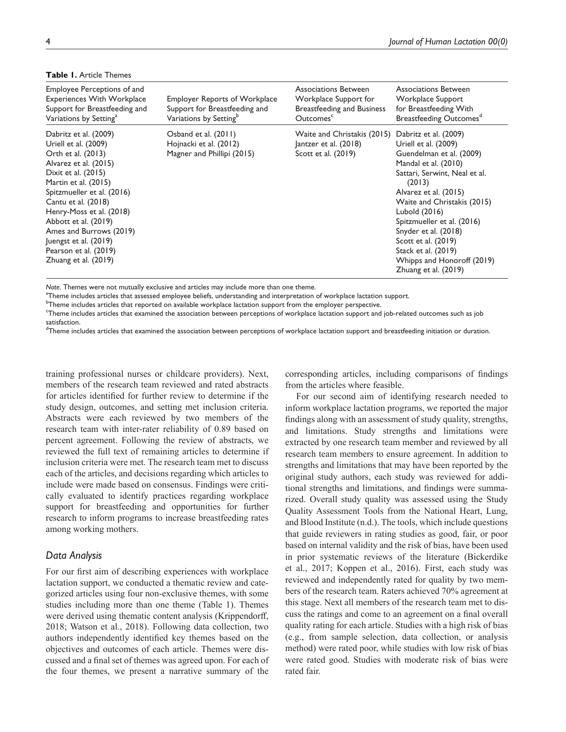| Employee Perceptions of and<br><b>Experiences With Workplace</b><br>Support for Breastfeeding and<br>Variations by Setting <sup>a</sup>                                                                                                                                                                                                                   | <b>Employer Reports of Workplace</b><br>Support for Breastfeeding and<br>Variations by Setting <sup>b</sup> | Associations Between<br>Workplace Support for<br><b>Breastfeeding and Business</b><br>Outcomes <sup>c</sup> | Associations Between<br>Workplace Support<br>for Breastfeeding With<br>Breastfeeding Outcomes <sup>d</sup>                                                                                                                                                                                                                                             |
|-----------------------------------------------------------------------------------------------------------------------------------------------------------------------------------------------------------------------------------------------------------------------------------------------------------------------------------------------------------|-------------------------------------------------------------------------------------------------------------|-------------------------------------------------------------------------------------------------------------|--------------------------------------------------------------------------------------------------------------------------------------------------------------------------------------------------------------------------------------------------------------------------------------------------------------------------------------------------------|
| Dabritz et al. (2009)<br>Uriell et al. (2009)<br>Orth et al. (2013)<br>Alvarez et al. (2015)<br>Dixit et al. (2015)<br>Martin et al. (2015)<br>Spitzmueller et al. (2016)<br>Cantu et al. (2018)<br>Henry-Moss et al. (2018)<br>Abbott et al. (2019)<br>Ames and Burrows (2019)<br>Juengst et al. (2019)<br>Pearson et al. (2019)<br>Zhuang et al. (2019) | Osband et al. (2011)<br>Hojnacki et al. (2012)<br>Magner and Phillipi (2015)                                | Waite and Christakis (2015) Dabritz et al. (2009)<br>$ antzer$ et al. $(2018)$<br>Scott et al. $(2019)$     | Uriell et al. (2009)<br>Guendelman et al. (2009)<br>Mandal et al. (2010)<br>Sattari, Serwint, Neal et al.<br>(2013)<br>Alvarez et al. (2015)<br>Waite and Christakis (2015)<br>Lubold (2016)<br>Spitzmueller et al. (2016)<br>Snyder et al. (2018)<br>Scott et al. (2019)<br>Stack et al. (2019)<br>Whipps and Honoroff (2019)<br>Zhuang et al. (2019) |

## <span id="page-3-0"></span>**Table 1.** Article Themes

*Note*. Themes were not mutually exclusive and articles may include more than one theme.

<sup>a</sup>Theme includes articles that assessed employee beliefs, understanding and interpretation of workplace lactation support.

b Theme includes articles that reported on available workplace lactation support from the employer perspective.

c Theme includes articles that examined the association between perceptions of workplace lactation support and job-related outcomes such as job satisfaction.

<sup>d</sup>Theme includes articles that examined the association between perceptions of workplace lactation support and breastfeeding initiation or duration.

training professional nurses or childcare providers). Next, members of the research team reviewed and rated abstracts for articles identified for further review to determine if the study design, outcomes, and setting met inclusion criteria. Abstracts were each reviewed by two members of the research team with inter-rater reliability of 0.89 based on percent agreement. Following the review of abstracts, we reviewed the full text of remaining articles to determine if inclusion criteria were met. The research team met to discuss each of the articles, and decisions regarding which articles to include were made based on consensus. Findings were critically evaluated to identify practices regarding workplace support for breastfeeding and opportunities for further research to inform programs to increase breastfeeding rates among working mothers.

### *Data Analysis*

For our first aim of describing experiences with workplace lactation support, we conducted a thematic review and categorized articles using four non-exclusive themes, with some studies including more than one theme [\(Table](#page-3-0) 1). Themes were derived using thematic content analysis ([Krippendorff,](#page-13-18)  [2018](#page-13-18); [Watson et](#page-15-7) al., 2018). Following data collection, two authors independently identified key themes based on the objectives and outcomes of each article. Themes were discussed and a final set of themes was agreed upon. For each of the four themes, we present a narrative summary of the

corresponding articles, including comparisons of findings from the articles where feasible.

For our second aim of identifying research needed to inform workplace lactation programs, we reported the major findings along with an assessment of study quality, strengths, and limitations. Study strengths and limitations were extracted by one research team member and reviewed by all research team members to ensure agreement. In addition to strengths and limitations that may have been reported by the original study authors, each study was reviewed for additional strengths and limitations, and findings were summarized. Overall study quality was assessed using the Study Quality Assessment Tools from the National Heart, Lung, and Blood Institute ([n.d.\)](#page-14-21). The tools, which include questions that guide reviewers in rating studies as good, fair, or poor based on internal validity and the risk of bias, have been used in prior systematic reviews of the literature ([Bickerdike](#page-13-19)  et [al., 2017](#page-13-19); [Koppen et](#page-13-20) al., 2016). First, each study was reviewed and independently rated for quality by two members of the research team. Raters achieved 70% agreement at this stage. Next all members of the research team met to discuss the ratings and come to an agreement on a final overall quality rating for each article. Studies with a high risk of bias (e.g., from sample selection, data collection, or analysis method) were rated poor, while studies with low risk of bias were rated good. Studies with moderate risk of bias were rated fair.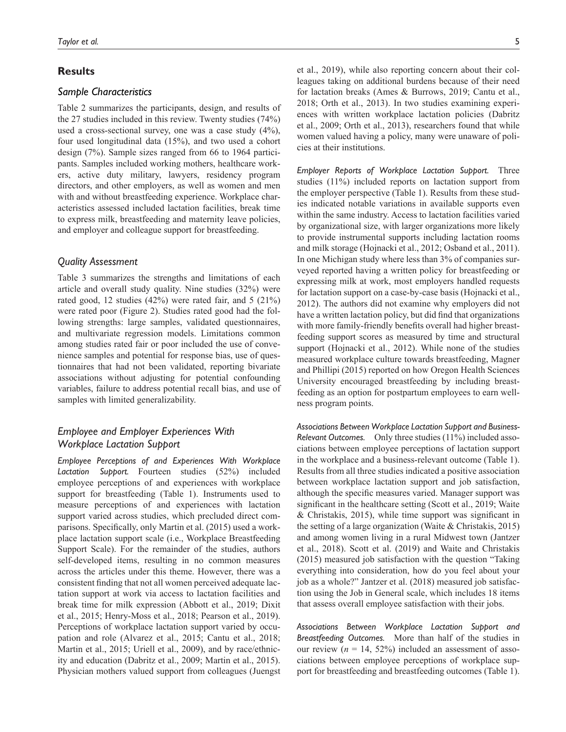# **Results**

## *Sample Characteristics*

[Table](#page-5-0) 2 summarizes the participants, design, and results of the 27 studies included in this review. Twenty studies (74%) used a cross-sectional survey, one was a case study (4%), four used longitudinal data (15%), and two used a cohort design (7%). Sample sizes ranged from 66 to 1964 participants. Samples included working mothers, healthcare workers, active duty military, lawyers, residency program directors, and other employers, as well as women and men with and without breastfeeding experience. Workplace characteristics assessed included lactation facilities, break time to express milk, breastfeeding and maternity leave policies, and employer and colleague support for breastfeeding.

## *Quality Assessment*

[Table](#page-8-0) 3 summarizes the strengths and limitations of each article and overall study quality. Nine studies (32%) were rated good, 12 studies (42%) were rated fair, and 5 (21%) were rated poor [\(Figure](#page-11-0) 2). Studies rated good had the following strengths: large samples, validated questionnaires, and multivariate regression models. Limitations common among studies rated fair or poor included the use of convenience samples and potential for response bias, use of questionnaires that had not been validated, reporting bivariate associations without adjusting for potential confounding variables, failure to address potential recall bias, and use of samples with limited generalizability.

# *Employee and Employer Experiences With Workplace Lactation Support*

*Employee Perceptions of and Experiences With Workplace Lactation Support.* Fourteen studies (52%) included employee perceptions of and experiences with workplace support for breastfeeding ([Table](#page-3-0) 1). Instruments used to measure perceptions of and experiences with lactation support varied across studies, which precluded direct comparisons. Specifically, only Martin et [al. \(2015\)](#page-14-14) used a workplace lactation support scale (i.e., Workplace Breastfeeding Support Scale). For the remainder of the studies, authors self-developed items, resulting in no common measures across the articles under this theme. However, there was a consistent finding that not all women perceived adequate lactation support at work via access to lactation facilities and break time for milk expression ([Abbott et](#page-12-1) al., 2019; [Dixit](#page-13-13) et [al., 2015](#page-13-13); [Henry-Moss et](#page-13-14) al., 2018; [Pearson et](#page-14-15) al., 2019). Perceptions of workplace lactation support varied by occupation and role [\(Alvarez et](#page-12-0) al., 2015; Cantu et [al., 2018](#page-13-5); [Martin et](#page-14-14) al., 2015; Uriell et [al., 2009\)](#page-14-12), and by race/ethnicity and education [\(Dabritz et](#page-13-12) al., 2009; [Martin et](#page-14-14) al., 2015). Physician mothers valued support from colleagues [\(Juengst](#page-13-15)

et [al., 2019](#page-13-15)), while also reporting concern about their colleagues taking on additional burdens because of their need for lactation breaks [\(Ames & Burrows, 2019](#page-12-2); [Cantu et](#page-13-5) al., [2018](#page-13-5); Orth et [al., 2013\)](#page-14-13). In two studies examining experiences with written workplace lactation policies [\(Dabritz](#page-13-12) et [al., 2009](#page-13-12); Orth et [al., 2013](#page-14-13)), researchers found that while women valued having a policy, many were unaware of policies at their institutions.

*Employer Reports of Workplace Lactation Support.* Three studies (11%) included reports on lactation support from the employer perspective ([Table](#page-3-0) 1). Results from these studies indicated notable variations in available supports even within the same industry. Access to lactation facilities varied by organizational size, with larger organizations more likely to provide instrumental supports including lactation rooms and milk storage ([Hojnacki et](#page-13-16) al., 2012; [Osband et](#page-14-16) al., 2011). In one Michigan study where less than 3% of companies surveyed reported having a written policy for breastfeeding or expressing milk at work, most employers handled requests for lactation support on a case-by-case basis ([Hojnacki et](#page-13-16) al., [2012](#page-13-16)). The authors did not examine why employers did not have a written lactation policy, but did find that organizations with more family-friendly benefits overall had higher breastfeeding support scores as measured by time and structural support [\(Hojnacki et](#page-13-16) al., 2012). While none of the studies measured workplace culture towards breastfeeding, [Magner](#page-14-17) [and Phillipi \(2015\)](#page-14-17) reported on how Oregon Health Sciences University encouraged breastfeeding by including breastfeeding as an option for postpartum employees to earn wellness program points.

*Associations Between Workplace Lactation Support and Business-Relevant Outcomes.* Only three studies (11%) included associations between employee perceptions of lactation support in the workplace and a business-relevant outcome ([Table](#page-3-0) 1). Results from all three studies indicated a positive association between workplace lactation support and job satisfaction, although the specific measures varied. Manager support was significant in the healthcare setting (Scott et [al., 2019](#page-14-6); [Waite](#page-15-5) [& Christakis, 2015\)](#page-15-5), while time support was significant in the setting of a large organization ([Waite & Christakis, 2015](#page-15-5)) and among women living in a rural Midwest town [\(Jantzer](#page-13-6) et [al., 2018\)](#page-13-6). Scott et [al. \(2019\)](#page-14-6) and [Waite and Christakis](#page-15-5) [\(2015\)](#page-15-5) measured job satisfaction with the question "Taking everything into consideration, how do you feel about your job as a whole?" Jantzer et [al. \(2018\)](#page-13-6) measured job satisfaction using the Job in General scale, which includes 18 items that assess overall employee satisfaction with their jobs.

*Associations Between Workplace Lactation Support and Breastfeeding Outcomes.* More than half of the studies in our review  $(n = 14, 52\%)$  included an assessment of associations between employee perceptions of workplace support for breastfeeding and breastfeeding outcomes [\(Table](#page-3-0) 1).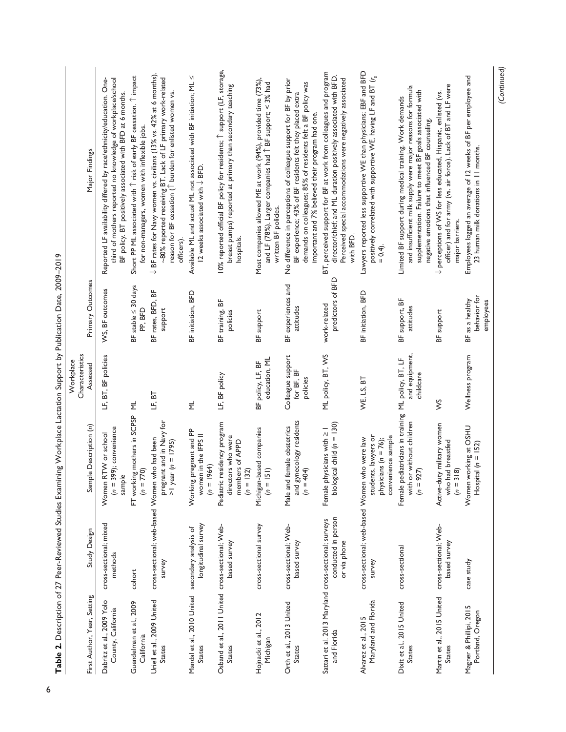|                                                                      |                                                         | Table 2. Description of 27 Peer-Reviewed Studies Examining Workplace Lactation Support by Publication Date, 2009-2019 |                                             |                                              |                                                                                                                                                                                                                                                    |
|----------------------------------------------------------------------|---------------------------------------------------------|-----------------------------------------------------------------------------------------------------------------------|---------------------------------------------|----------------------------------------------|----------------------------------------------------------------------------------------------------------------------------------------------------------------------------------------------------------------------------------------------------|
| First Author, Year, Setting                                          | Study Design                                            | Sample Description (n)                                                                                                | Characteristics<br>Workplace<br>Assessed    | Primary Outcomes                             | Major Findings                                                                                                                                                                                                                                     |
| Dabritz et al., 2009 Yolo<br>County, California                      | cross-sectional; mixed<br>methods                       | $(n = 399)$ ; convenience<br>Women RTW or school<br>sample                                                            | LF, BT, BF policies                         | WS, BF outcomes                              | Reported LF availability differed by race/ethnicity/education. One-<br>third of mothers reported no knowledge of workplace/school<br>BF policy. BT positively associated with BFD at 6 months.                                                     |
| Guendelman et al., 2009<br>California                                | cohort                                                  | FT working mothers in SCPSP<br>$(n = 770)$                                                                            | $\equiv$                                    | BF stable $\leq 30$ days<br>PP, BFD          | Short PP ML associated with 1 risk of early BF cessation. 1 impact<br>for non-managers, women with inflexible jobs.                                                                                                                                |
| Uriell et al., 2009 United<br><b>States</b>                          | cross-sectional; web-based Women who had been<br>survey | pregnant and in Navy for<br>$>1$ year (n = 1795)                                                                      | LF, BT                                      | BF rates, BFD, BF<br>support                 | $\downarrow$ BF rates for Navy women vs. civilians (13% vs. 42% at 6 months).<br>~80% reported receiving BT. Lack of LF primary work-related<br>reason for BF cessation $($ <sup>↑</sup> burden for enlisted women vs.<br>officers).               |
| Mandal et al., 2010 United secondary analysis of<br>States           | longitudinal survey                                     | Working pregnant and PP<br>women in the IFPS II<br>$(n = 1964)$                                                       | $\overline{\Sigma}$                         | BF initiation, BFD                           | Available ML and actual ML not associated with BF initiation; ML $\leq$<br>12 weeks associated with $\downarrow$ BFD.                                                                                                                              |
| Osband et al., 2011 United cross-sectional; Web-<br>States           | based survey                                            | Pediatric residency program<br>directors who were<br>members of APPD<br>$(n = 132)$                                   | LF, BF policy                               | BF training, BF<br>policies                  | 10% reported official BF policy for residents; 1 support (LF, storage,<br>breast pumps) reported at primary than secondary teaching<br>hospitals.                                                                                                  |
| Hojnacki et al., 2012<br>Michigan                                    | cross-sectional survey                                  | Michigan-based companies<br>$(n = 151)$                                                                               | education, ML<br>BF policy, LF, BF          | BF support                                   | Most companies allowed ME at work (94%), provided time (73%),<br>and LF (78%). Larger companies had 1 BF support; < 3% had<br>written BF policies.                                                                                                 |
| Orth et al., 2013 United<br>States                                   | cross-sectional; Web-<br>based survey                   | and gynecology residents<br>Male and female obstetrics<br>$(n = 404)$                                                 | Colleague support<br>for BF, BF<br>policies | BF experiences and<br>attitudes              | No difference in perceptions of colleague support for BF by prior<br>demands on colleagues; 85% of residents felt a BF policy was<br>BF experience; 43% of BF residents felt they placed extra<br>important and 7% believed their program had one. |
| Sattari et al. 2013 Maryland cross-sectional; surveys<br>and Florida | conducted in person<br>or via phone                     | ical child ( $n = 130$ )<br>Female physicians with $\geq 1$<br>biologie                                               | ML policy, BT, WS                           | predictors of BFD<br>work-related            | BT, perceived support for BF at work from colleagues and program<br>director/chief; and ML duration positively associated with BFD.<br>Perceived special accommodations were negatively associated<br>with BFD.                                    |
| Maryland and Florida<br>Alvarez et al., 2015                         | cross-sectional; web-based Women who were law<br>survey | students, lawyers or<br>convenience sample<br>physicians ( $n = 76$ );                                                | WE, LS, BT                                  | BF initiation, BFD                           | Lawyers reported less supportive WE than physicians; EBF and BFD<br>positively correlated with supportive WE, having LF and BT (r <sub>s</sub><br>$= 0.4$ .                                                                                        |
| Dixit et al., 2015 United<br><b>States</b>                           | cross-sectional                                         | Female pediatricians in training ML policy, BT, LF<br>with or without children<br>$(n = 927)$                         | and equipment,<br>childcare                 | BF support, BF<br>attitudes                  | and insufficient milk supply were major reasons for formula<br>supplementation. Failure to meet BF goals associated with<br>Limited BF support during medical training. Work demands<br>negative emotions that influenced BF counseling.           |
| Martin et al., 2015 United<br><b>States</b>                          | cross-sectional; Web-<br>based survey                   | Active-duty military women<br>who had breastfed<br>$(n = 318)$                                                        | Š                                           | BF support                                   | officer) and for army (vs. air force). Lack of BT and LF were<br>$\downarrow$ perceptions of WS for less educated, Hispanic, enlisted (vs.<br>major barriers.                                                                                      |
| Magner & Phillipi, 2015<br>Portland, Oregon                          | case study                                              | Women working at OSHU<br>Hospital ( $n = 152$ )                                                                       | Wellness program                            | behavior for<br>BF as a healthy<br>employees | Employees logged an average of 12 weeks of BF per employee and<br>23 human milk donations in 11 months.                                                                                                                                            |
|                                                                      |                                                         |                                                                                                                       |                                             |                                              | (Continued)                                                                                                                                                                                                                                        |

<span id="page-5-0"></span>2009-2019 **Table 2.** Description of 27 Peer-Reviewed Studies Examining Workplace Lactation Support by Publication Date, 2009–2019  $\Gamma_{\rm{area}}$  $\frac{1}{2}$ Public É Ō Ŕ l, rloolo  $\sim$  Mo j Ŀ  $\div$  $\frac{1}{\tau}$ ة.<br>- $\alpha$  $477$  Pe  $rint_0$ ć  $\mathbf{c}$ ţ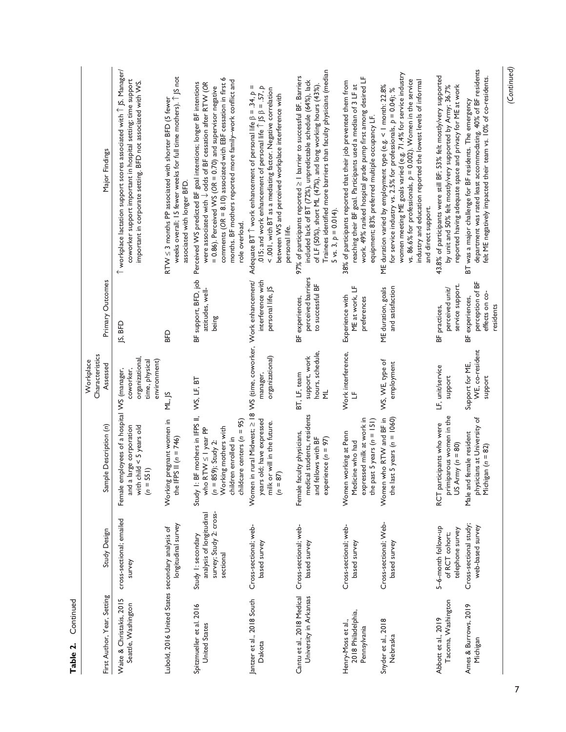| First Author, Year, Setting                              | Study Design                                                                           | Sample Description (n)                                                                                                                                             | Characteristics<br>Workplace<br>Assessed                       | Primary Outcomes                                                   | Major Findings                                                                                                                                                                                                                                                                                                                                                 |
|----------------------------------------------------------|----------------------------------------------------------------------------------------|--------------------------------------------------------------------------------------------------------------------------------------------------------------------|----------------------------------------------------------------|--------------------------------------------------------------------|----------------------------------------------------------------------------------------------------------------------------------------------------------------------------------------------------------------------------------------------------------------------------------------------------------------------------------------------------------------|
| Waite & Christakis, 2015<br>Seattle, Washington          | cross-sectional; emailed<br>survey                                                     | Female employees of a hospital WS (manager,<br>and a large corporation<br>with child $\leq$ 5 years old<br>$(n = 551)$                                             | organizational.<br>time, physical<br>environment)<br>coworker, | JS, BFD                                                            | $\uparrow$ workplace lactation support scores associated with $\uparrow$ JS. Manager/<br>coworker support important in hospital setting; time support<br>important in corporate setting. BFD not associated with WS.                                                                                                                                           |
| Lubold, 2016 United States secondary analysis of         | longitudinal survey                                                                    | Working pregnant women in<br>the IFPS II $(n = 746)$                                                                                                               | ML, JS                                                         | <b>GB</b>                                                          | weeks overall; 15 fewer weeks for full time mothers). 1 JS not<br>$RTW \leq 3$ months PP associated with shorter BFD (5 fewer<br>associated with longer BFD.                                                                                                                                                                                                   |
| Spitzmueller et al. 2016<br><b>United States</b>         | survey; Study 2: cross-<br>analysis of longitudinal<br>Study 1: secondary<br>sectional | Study I: BF mothers in IFPS II,<br>who RTW ≤ I year PP<br>childcare centers ( $n = 95$ )<br>Working mothers with<br>children enrolled in<br>$(n = 859)$ ; Study 2: | WS, LF, BT                                                     | BF support, BFD, job<br>attitudes, well-<br>being                  | comments ( $OR = 8.10$ ) associated with EBF cessation in first 6<br>months. BF mothers reported more family-work conflict and<br>Perceived WS predicted BF goal intentions; longer BF intentions<br>were associated with $\downarrow$ odds of BF cessation after RTW (OR<br>$= 0.86$ ). Perceived WS (OR $= 0.70$ ) and supervisor negative<br>role overload. |
| antzer et al., 2018 South<br>Dakota                      | Cross-sectional; web-<br>based survey                                                  | Women in rural Midwest; $\geq$ 18 WS (time, coworker, Work enhancement/<br>years old; have expressed<br>milk or will in the future.<br>$(n = 87)$                  | organizational)<br>manager,                                    | interference with<br>personal life, JS                             | .015; and work enhancement of personal life $\hat{\uparrow}$ JS $\beta$ = .57, $p$<br>Ш<br>< .001, with BT as a mediating factor. Negative correlation<br>Adequate BT $\hat{\ }$ work enhancement of personal life $\beta = .34$ , p<br>between WS and perceived workplace interference with<br>personal life.                                                 |
| Cantu et al., 2018 Medical<br>University in Arkansas     | Cross-sectional; web-<br>based survey                                                  | medical students, residents<br>Female faculty physicians,<br>and fellows with BF<br>experience $(n = 97)$                                                          | hours, schedule,<br>support, work<br>BT, LF, team<br>ξ         | perceived barriers<br>to successful BF<br>BF experiences,          | Trainees identified more barriers than faculty physicians (median<br>97% of participants reported $\geq$ 1 barrier to successful BF. Barriers<br>included lack of BT (72%), unpredictable schedule (64%), lack<br>of LF (50%), short ML (47%), and long working hours (43%)<br>$5$ vs. 3, $p = 0.014$ ).                                                       |
| 2018 Philadelphia,<br>Henry-Moss et al.,<br>Pennsylvania | Cross-sectional; web-<br>based survey                                                  | expressed milk at work in<br>the past 5 years ( $n = 151$ )<br>Women working at Penn<br>Medicine who had                                                           | Work interference,                                             | ME at work, LF<br>Experience with<br>preterences                   | work. 49% ranked hospital grade pump first among desired LF<br>38% of participants reported that their job prevented them from<br>reaching their BF goal. Participants used a median of 3 LF at<br>equipment; 83% preferred multiple occupancy LF.                                                                                                             |
| Snyder et al., 2018<br>Nebraska                          | Cross-sectional; Web-<br>based survey                                                  | Women who RTW and BF in<br>the last 5 years ( $n = 1060$ )                                                                                                         | WS, WE, type of<br>employment                                  | and satisfaction<br>ME duration, goals                             | women meeting ME goals varied (e.g. 71.4% for service industry<br>vs. 86.6% for professionals, $p = 0.002$ ). Women in the service<br>industry and education reported the lowest levels of informal<br>ME duration varied by employment type (e.g. < 1 month: 22.8%<br>for service industry vs. 2.5% for professionals, $p = 0.04$ ); %<br>and direct support. |
| Tacoma, Washington<br>Abbott et al., 2019                | 5-6-month follow-up<br>telephone survey<br>of RCT cohort;                              | primiparous women in the<br>RCT participants who were<br>US Army ( $n = 80$ )                                                                                      | LF, unit/service<br>support                                    | service support.<br>perceived unit/<br>BF practices,               | 43.8% of participants were still BF; 53% felt mostly/very supported<br>reported having adequate space and privacy for ME at work<br>by unit and 50% felt mostly/very supported by Army; 36.7%                                                                                                                                                                  |
| Ames & Burrows, 2019<br>Michigan                         | Cross-sectional study;<br>web-based survey                                             | physicians at University of<br>Male and female resident<br>Michigan $(n = 82)$                                                                                     | WE, co-resident<br>Support for ME,<br>support                  | perception of BF<br>effects on co-<br>BF experiences,<br>residents | department was rated least accommodating. 40% of BF residents<br>felt ME negatively impacted their team vs. 10% of co-residents.<br>BT was a major challenge for BF residents. The emergency                                                                                                                                                                   |

Table 2. Continued **Table 2.** Continued

*(Continued)*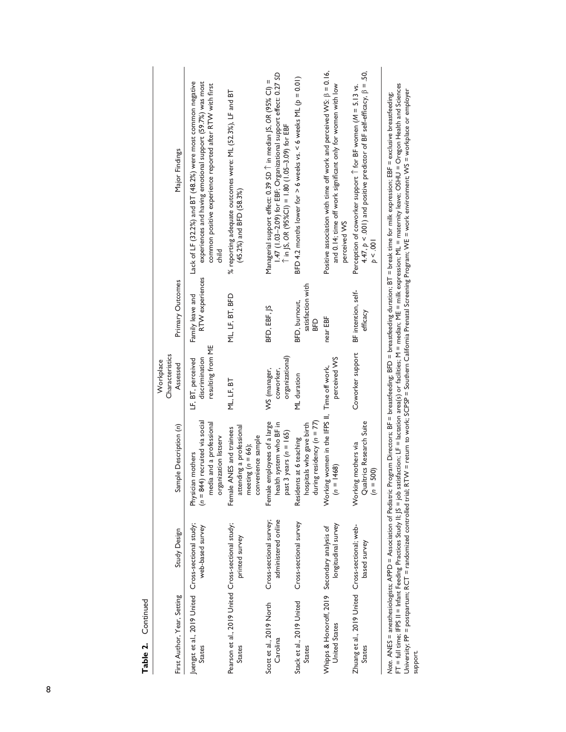Table 2. Continued Continued **Table 2.**

| First Author, Year, Setting                                           | Study Design                                                                                                                                                                      | Sample Description (n)                                                                                     | Characteristics<br>Workplace<br>Assessed                 | Primary Outcomes                          | Major Findings                                                                                                                                                                                    |
|-----------------------------------------------------------------------|-----------------------------------------------------------------------------------------------------------------------------------------------------------------------------------|------------------------------------------------------------------------------------------------------------|----------------------------------------------------------|-------------------------------------------|---------------------------------------------------------------------------------------------------------------------------------------------------------------------------------------------------|
| Juengst et al., 2019 United Cross-sectional study;<br>States          | web-based survey                                                                                                                                                                  | $(n = 844)$ recruited via social<br>media and a professional<br>organization listserv<br>Physician mothers | resulting from ME<br>discrimination<br>LF, BT, perceived | RTW experiences<br>Family leave and       | Lack of LF (32.2%) and BT (48.2%) were most common negative<br>experiences and having emotional support (59.7%) was most<br>common positive experience reported after RTW with first<br>elild     |
| Pearson et al., 2019 United Cross-sectional study;<br><b>States</b>   | printed survey                                                                                                                                                                    | attending a professional<br>Female ANES and trainees<br>convenience sample<br>meeting $(n = 66)$ ;         | ML, LF, BT                                               | ML, LF, BT, BFD                           | % reporting adequate outcomes were: ML (52.3%), LF and BT<br>(45.2%) and BFD (58.3%)                                                                                                              |
| Scott et al., 2019 North<br>Carolina                                  | administered online<br>Cross-sectional survey;                                                                                                                                    | Female employees of a large<br>system who BF in<br>years ( $n = 165$ )<br>health<br>past 3                 | organizational)<br>WS (manager,<br>coworker,             | BFD, EBF, JS                              | 1.47 (1.03-2.09) for EBF; Organizational support effect: 0.27 SD<br>Managerial support effect: 0.39 SD T in median JS, OR (95% CI) =<br>$\hat{T}$ in $ S$ , OR (95%Cl) = 1.80 (1.05-3.09) for EBF |
| Stack et al., 2019 United<br><b>States</b>                            | Cross-sectional survey                                                                                                                                                            | during residency $(n = 77)$<br>hospitals who gave birth<br>at 6 teaching<br>Residents                      | ML duration                                              | satisfaction with<br>BFD, burnout,<br>BFD | BFD 4.2 months lower for $>$ 6 weeks vs. < 6 weeks ML $(p = 0.01)$                                                                                                                                |
| Whipps & Honoroff, 2019 Secondary analysis of<br><b>United States</b> | longitudinal survey                                                                                                                                                               | Working women in the IFPS II, Time off work,<br>468)<br>$=$ 0                                              | perceived WS                                             | near EBF                                  | Positive association with time off work and perceived WS: $\beta = 0.16$ ,<br>and 0.14; time off work significant only for women with low<br>perceived WS                                         |
| Zhuang et al., 2019 United Cross-sectional; web-<br><b>States</b>     | based survey                                                                                                                                                                      | Qualtrics Research Suite<br>Working mothers via<br>$(n = 500)$                                             | Coworker support                                         | BF intention, self-<br>efficacy           | 4.47, $p < .001$ ) and positive predictor of BF self-efficacy, $\beta = .50$ ,<br>Perception of coworker support $\hat{ }$ for BF women (M = 5.13 vs.<br>p < .001                                 |
|                                                                       | $\lambda$ and $\lambda$ and $\lambda$ and $\lambda$ and $\lambda$ and $\lambda$ and $\lambda$ and $\lambda$ and $\lambda$ and $\lambda$ and $\lambda$ and $\lambda$ and $\lambda$ | ć                                                                                                          |                                                          |                                           | and DE Harristand DED Harristand Harristand and Harristand Carolina and Harristand Carolina Harristand and the                                                                                    |

*Note*. ANES = anesthesiologists; APPD = Association of Pediatric Program Directors; BF = breastfeeding; BFD = breastfeeding duration; BT = break time for milk expression; EBF = exclusive breastfeeding; FT = full time; IFPS II = Infant Feeding Practices Study II; JS = job satisfaction; LF = lactation area(s) or facilities; M = median; ME = milk expression; ML = maternity leave; OSHU = Oregon Health and Sciences University; PP = postpartum; RCT = randomized controlled trial; RTW = return to work; SCPSP = Southern California Prenatal Screening Program; WE = work environment; WS = workplace or employer Note. ANES = anesthesiologists, APPD = Association of Pediatric Program Directors; BF = breasfeeding; BFD = breastfeeding duration; BT = break time for milk expression; EBF = exclusive breastfeeding;<br>FT = full time; IFPS I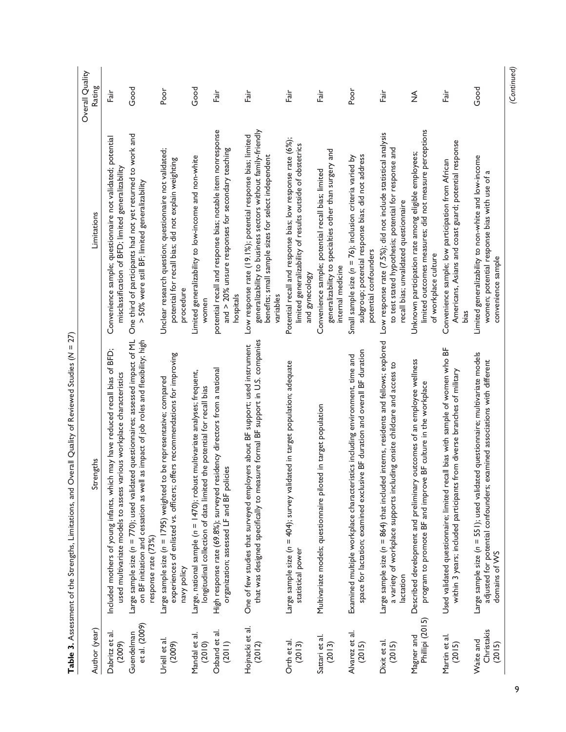<span id="page-8-0"></span>

| Ì<br>ì       |  |
|--------------|--|
| $\mathbf{I}$ |  |
|              |  |
|              |  |
|              |  |
|              |  |
|              |  |
|              |  |
|              |  |
|              |  |
| l            |  |
|              |  |
|              |  |
|              |  |
|              |  |
|              |  |
|              |  |
|              |  |
| Í            |  |
|              |  |
|              |  |
|              |  |
|              |  |
|              |  |
|              |  |
|              |  |
|              |  |
| ١            |  |
|              |  |
|              |  |
|              |  |
|              |  |
|              |  |
|              |  |
|              |  |
|              |  |
|              |  |
|              |  |
|              |  |
|              |  |
|              |  |
|              |  |
|              |  |

| Author (year)                     | Strengths                                                                                                                                                                                           | Limitations                                                                                                                                                                                     | Overall Quality<br>Rating |
|-----------------------------------|-----------------------------------------------------------------------------------------------------------------------------------------------------------------------------------------------------|-------------------------------------------------------------------------------------------------------------------------------------------------------------------------------------------------|---------------------------|
| Dabritz et al.<br>(2009)          | Included mothers of young infants, which may have reduced recall bias of BFD;<br>used multivariate models to assess various workplace characteristics                                               | Convenience sample; questionnaire not validated; potential<br>misclassification of BFD; limited generalizability                                                                                | Fair                      |
| et al. (2009)<br>Guendelman       | Large sample size ( $n = 770$ ); used validated questionnaires; assessed impact of ML<br>on BF initiation and cessation as well as impact of job roles and flexibility; high<br>response rate (73%) | One third of participants had not yet returned to work and<br>> 50% were still BF; limited generalizability                                                                                     | Good                      |
| Uriell et al.<br>(2009)           | experiences of enlisted vs. officers; offers recommendations for improving<br>be representative; compared<br>Large sample size ( $n = 1795$ ) weighted to<br>navy policy                            | Unclear research question; questionnaire not validated;<br>potential for recall bias; did not explain weighting<br>procedure                                                                    | Poor                      |
| Mandal et al.<br>(2010)           | Large, national sample (n = 1470); robust multivariate analyses; frequent,<br>longitudinal collection of data limited the potential for recall bias                                                 | Limited generalizability to low-income and non-white<br>women                                                                                                                                   | Good                      |
| Osband et al.<br>(2011)           | High response rate (69.8%); surveyed residency directors from a national<br>organization; assessed LF and BF policies                                                                               | potential recall and response bias; notable item nonresponse<br>and $>$ 20% unsure responses for secondary teaching<br>hospitals                                                                | irg<br>Fair               |
| Hojnacki et al.<br>(2012)         | that was designed specifically to measure formal BF support in U.S. companies<br>One of few studies that surveyed employers about BF support; used instrument                                       | generalizability to business sectors without family-friendly<br>Low response rate (19.1%); potential response bias; limited<br>benefits; small sample sizes for select independent<br>variables | Fair                      |
| Orth et al.<br>(2013)             | Large sample size (n = 404); survey validated in target population; adequate<br>statistical power                                                                                                   | Potential recall and response bias; low response rate (6%);<br>limited generalizability of results outside of obstetrics<br>and gynecology                                                      | Fair                      |
| Sattari et al.<br>(2013)          | Multivariate models; questionnaire piloted in target population                                                                                                                                     | generalizability to specialties other than surgery and<br>Convenience sample; potential recall bias; limited<br>internal medicine                                                               | irg<br>Fair               |
| Alvarez et al.<br>(2015)          | space for lactation; examined exclusive BF duration and overall BF duration<br>Examined multiple workplace characteristics including environment, time and                                          | subgroup; potential response bias; did not address<br>Small sample size $(n = 76)$ ; inclusion criteria varied by<br>potential confounders                                                      | Poor                      |
| Dixit et al.<br>(2015)            | interns, residents and fellows; explored<br>a variety of workplace supports including onsite childcare and access to<br>Large sample size $(n = 864)$ that included<br>lactation                    | Low response rate (7.5%); did not include statistical analysis<br>to test stated hypothesis; potential for response and<br>recall bias; unvalidated questionnaire                               | Fair                      |
| Phillipi (2015)<br>Magner and     | Described development and preliminary outcomes of an employee wellness<br>program to promote BF and improve BF culture in the workplace                                                             | limited outcomes measures; did not measure perceptions<br>Unknown participation rate among eligible employees;<br>of workplace culture                                                          | $\frac{3}{2}$             |
| Martin et al.<br>(2015)           | Used validated questionnaire; limited recall bias with sample of women who BF<br>within 3 years; included participants from diverse branches of military                                            | Americans, Asians and coast guard; potential response<br>Convenience sample; low participation from African<br>bias                                                                             | Fair                      |
| Christakis<br>Waite and<br>(2015) | Large sample size (n = 551); used validated questionnaire; multivariate models<br>adjusted for potential confounders; examined associations with different<br>domains of WS                         | Limited generalizability to non-white and low-income<br>women; potential response bias with use of a<br>convenience sample                                                                      | Good                      |
|                                   |                                                                                                                                                                                                     |                                                                                                                                                                                                 | (Continued)               |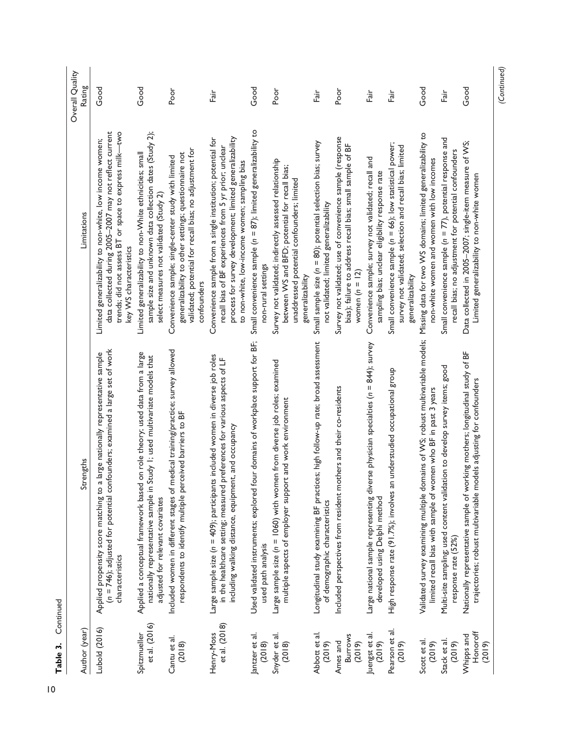| Author (year)                        | Strengths                                                                                                                                                                                                                     | Limitations                                                                                                                                                                                                                        | Overall Quality<br>Rating |
|--------------------------------------|-------------------------------------------------------------------------------------------------------------------------------------------------------------------------------------------------------------------------------|------------------------------------------------------------------------------------------------------------------------------------------------------------------------------------------------------------------------------------|---------------------------|
| Lubold (2016)                        | (n = 746); adjusted for potential confounders; examined a large set of work<br>Applied propensity score matching to a large nationally representative sample<br>characteristics                                               | data collected during 2005-2007 may not reflect current<br>trends; did not assess BT or space to express milk-two<br>Limited generalizability to non-white, low income women;<br>key WS characteristics                            | Good                      |
| et al. (2016)<br>Spitzmueller        | Applied a conceptual framework based on role theory; used data from a large<br>nationally representative sample in Study I; used multivariate models that<br>adjusted for relevant covariates                                 | sample size and unknown data collection dates (Study 2);<br>Limited generalizability to non-White ethnicities; small<br>select measures not validated (Study 2)                                                                    | Good                      |
| Cantu et al.<br>(2018)               | Included women in different stages of medical training/practice; survey allowed<br>respondents to identify multiple perceived barriers to BF                                                                                  | validated; potential for recall bias; no adjustment for<br>generalizability to other settings; questionnaire not<br>Convenience sample; single-center study with limited<br>confounders                                            | Poor                      |
| et al. (2018)<br>Henry-Moss          | ncluded women in diverse job roles<br>in the healthcare setting; measured preferences for various aspects of LF<br>and occupancy<br>including walking distance, equipment,<br>Large sample size ( $n = 409$ ); participants i | process for survey development; limited generalizability<br>Convenience sample from a single institution; potential for<br>recall bias of BF experiences from 5 yr prior; unclear<br>to non-white, low-income women; sampling bias | Fair                      |
| Jantzer et al.<br>(2018)             | Used validated instruments; explored four domains of workplace support for BF;<br>used path analysis                                                                                                                          | Small convenience sample $(n = 87)$ ; limited generalizability to<br>non-rural settings                                                                                                                                            | Good                      |
| Snyder et al.<br>(2018)              | Large sample size ( $n = 1060$ ) with women from diverse job roles; examined<br>multiple aspects of employer support and work environment                                                                                     | Survey not validated; indirectly assessed relationship<br>between WS and BFD; potential for recall bias;<br>unaddressed potential confounders; limited<br>generalizability                                                         | Poor                      |
| Abbott et al.<br>(2019)              | Longitudinal study examining BF practices; high follow-up rate; broad assessment<br>of demographic characteristics                                                                                                            | Small sample size (n = 80); potential selection bias; survey<br>not validated; limited generalizability                                                                                                                            | Fair                      |
| <b>Burrows</b><br>Ames and<br>(2019) | Included perspectives from resident mothers and their co-residents                                                                                                                                                            | Survey not validated; use of convenience sample (response<br>bias); failure to address recall bias; small sample of BF<br>women $(n = 12)$                                                                                         | Poor                      |
| Juengst et al.<br>(2019)             | Large national sample representing diverse physician specialties (n = 844); survey<br>developed using Delphi method                                                                                                           | Convenience sample; survey not validated; recall and<br>sampling bias; unclear eligibility response rate                                                                                                                           | Fair                      |
| Pearson et al.<br>(2019)             | High response rate (91.7%); involves an understudied occupational group                                                                                                                                                       | Small convenience sample ( $n = 66$ ); low statistical power;<br>survey not validated; selection and recall bias; limited<br>generalizability                                                                                      | Fair                      |
| Scott et al.<br>(2019)               | Validated survey examining multiple domains of WS; robust multivariable models;<br>limited recall bias with sample of women who BF in past 3 years                                                                            | Missing data for two WS domains; limited generalizability to<br>non-white women and women with low incomes                                                                                                                         | Good                      |
| Stack et al.<br>(2019)               | Multi-site sampling; used content validation to develop survey items; good<br>response rate (52%)                                                                                                                             | Small convenience sample $(n = 77)$ , potential response and<br>recall bias; no adjustment for potential confounders                                                                                                               | in<br>Fair                |
| Honoroff<br>Whipps and<br>(2019)     | Nationally representative sample of working mothers; longitudinal study of BF<br>trajectories; robust multivariable models adjusting for confounders                                                                          | Data collected in 2005-2007; single-item measure of WS;<br>Limited generalizability to non-white women                                                                                                                             | Good                      |
|                                      |                                                                                                                                                                                                                               |                                                                                                                                                                                                                                    | (Continued)               |

Table 3. Continued **Table 3.** Continued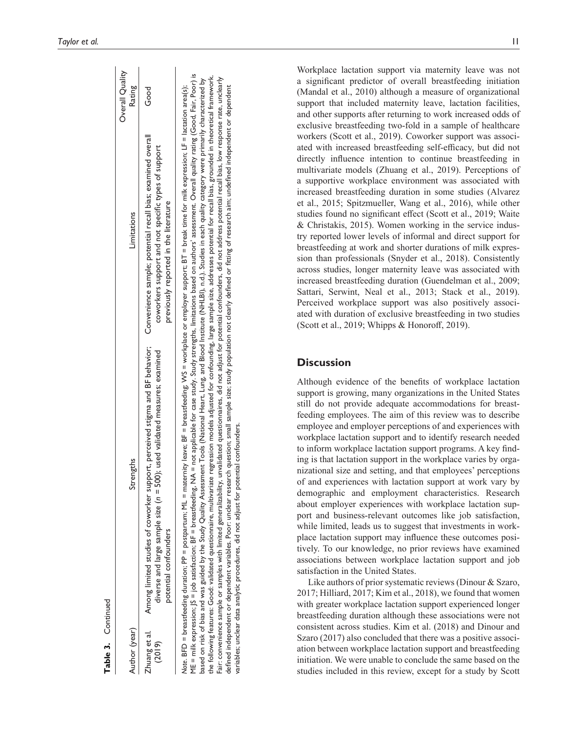| Table 3. Continued      |                                                                                                                                                                                                                                                                                                                                                                                                                                                                                                                                                                                                                                                                                                                                                                                                                                                                                                                                                                                                                                                                                                                                                                                                                                                                                                                                                          |                                                                                              |                           |
|-------------------------|----------------------------------------------------------------------------------------------------------------------------------------------------------------------------------------------------------------------------------------------------------------------------------------------------------------------------------------------------------------------------------------------------------------------------------------------------------------------------------------------------------------------------------------------------------------------------------------------------------------------------------------------------------------------------------------------------------------------------------------------------------------------------------------------------------------------------------------------------------------------------------------------------------------------------------------------------------------------------------------------------------------------------------------------------------------------------------------------------------------------------------------------------------------------------------------------------------------------------------------------------------------------------------------------------------------------------------------------------------|----------------------------------------------------------------------------------------------|---------------------------|
| Author (year)           | Strengths                                                                                                                                                                                                                                                                                                                                                                                                                                                                                                                                                                                                                                                                                                                                                                                                                                                                                                                                                                                                                                                                                                                                                                                                                                                                                                                                                | Limitations                                                                                  | Overall Quality<br>Rating |
| Zhuang et al.<br>(2019) | Among limited studies of coworker support, perceived stigma and BF behavior; Convenience sample; potential recall bias; examined overall<br>diverse and large sample size $(n = 500)$ ; used validated measures; examined<br>potential confounders                                                                                                                                                                                                                                                                                                                                                                                                                                                                                                                                                                                                                                                                                                                                                                                                                                                                                                                                                                                                                                                                                                       | coworkers support and not specific types of support<br>previously reported in the literature | Good                      |
|                         | ME = milk expression; JS = job satisfaction; BF = breastfeeding, NA = not applicable for case study. Study strengths, limitations based on authors' assessment. Overall quality rating (Good, Fair, Poor) is<br>the following features: Good: validated questionnaire, multivariate regression models adjusted for confounding, large sample size, addresses potential for recall bias, grounded in theoretical framework.<br>Fair: convenience sample or samples with limited generalizability, unvalidated questionnaires, did not adjust for potential confounders, did not address potential recall bias, low response rate, unclearly<br>based on risk of bias and was guided by the Study Quality Assessment Tools (National Heart, Lung, and Blood Institute (NHLBI), n.d.). Studies in each quality category were primarily characterized by<br>Note. BFD = breastfeeding duration; PP = postpartum; ML = maternity leave; BF = breastfeeding; WS = workplace or employer support; BT = break time for milk expression; LF = lactation area(s);<br>defined independent or dependent variables. Poor: unclear research question; small sample size; study population not clearly defined or fitting of research aim; undefined independent or dependent<br>variables; unclear data analytic procedures, did not adjust for potential confounders. |                                                                                              |                           |

Workplace lactation support via maternity leave was not [a significant predict](#page-14-18)or of overall breastfeeding initiation ([Mandal et](#page-14-18) al., 2010) although a measure of organizational support that included maternity leave, lactation facilities, and other supports after returning to work increased odds of exclusive breastfeeding two-fold in a sample of healthcare workers (Scott et [al., 2019](#page-14-6)). Coworker support was associ ated with increased breastfeeding self-efficacy, but did not directly influence intention to continue breastfeeding in multivariate models [\(Zhuang et](#page-15-4) al., 2019). Perceptions of a supportive workplace environment was associated with increased breastfeeding duration in some studies ([Alvarez](#page-12-0) et [al., 2015](#page-12-0); [Spitzmueller, Wang et](#page-14-4) al., 2016), while other studies found no significant effect (Scott et [al., 2019](#page-14-6); [Waite](#page-15-5) [& Christakis, 2015\)](#page-15-5). Women working in the service indus try reported lower levels of informal and direct support for breastfeeding at work and shorter durations of milk expres sion than professionals [\(Snyder et](#page-14-7) al., 2018). Consistently across studies, longer maternity leave was associated with increased breastfeeding duration [\(Guendelman et](#page-13-17) al., 2009; [Sattari, Serwint, Neal et](#page-14-19) al., 2013; Stack et [al., 2019\)](#page-14-20). Perceived workplace support was also positively associ [ated with duration](#page-14-6) [of exclusive breastfeeding](#page-15-6) in two studies ([Scott et](#page-14-6) al., 2019; Whipps & Honoroff, 2019).

# **Discussion**

Although evidence of the benefits of workplace lactation support is growing, many organizations in the United States still do not provide adequate accommodations for breast feeding employees. The aim of this review was to describe employee and employer perceptions of and experiences with workplace lactation support and to identify research needed to inform workplace lactation support programs. A key find ing is that lactation support in the workplace varies by orga nizational size and setting, and that employees' perceptions of and experiences with lactation support at work vary by demographic and employment characteristics. Research about employer experiences with workplace lactation sup port and business-relevant outcomes like job satisfaction, while limited, leads us to suggest that investments in workplace lactation support may influence these outcomes posi tively. To our knowledge, no prior reviews have examined associations between workplace lactation support and job satisfaction in the United States.

Like authors of prior systematic reviews [\(Dinour & Szaro,](#page-13-10) [2017](#page-13-10); [Hilliard, 2017](#page-13-11); Kim et [al., 2018](#page-13-8)), we found that women with greater workplace lactation support experienced longer breastfeeding duration although these associations were not consistent across studies. Kim et [al. \(2018\)](#page-13-8) and [Dinour and](#page-13-10) [Szaro \(2017\)](#page-13-10) also concluded that there was a positive association between workplace lactation support and breastfeeding initiation. We were unable to conclude the same based on the studies included in this review, except for a study by [Scott](#page-14-6)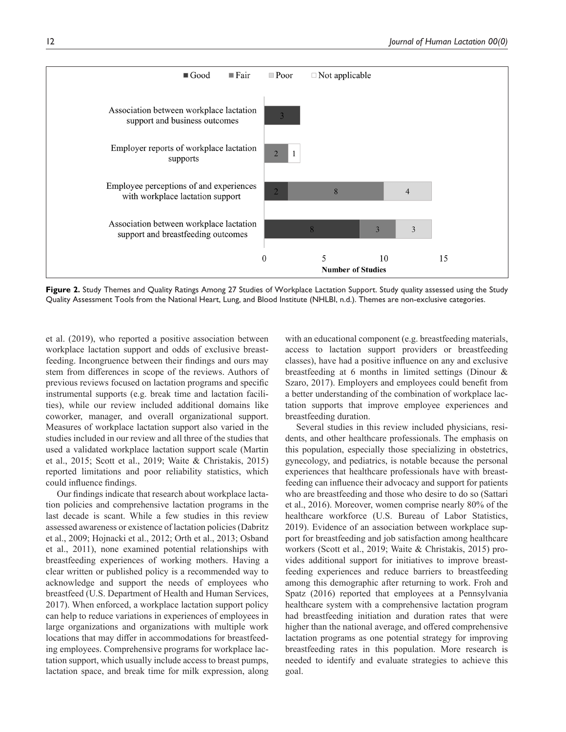

<span id="page-11-0"></span>Figure 2. Study Themes and Quality Ratings Among 27 Studies of Workplace Lactation Support. Study quality assessed using the Study Quality Assessment Tools from the National Heart, Lung, and Blood Institute [\(NHLBI, n.d.\)](#page-14-21). Themes are non-exclusive categories.

et [al. \(2019\),](#page-14-6) who reported a positive association between workplace lactation support and odds of exclusive breastfeeding. Incongruence between their findings and ours may stem from differences in scope of the reviews. Authors of previous reviews focused on lactation programs and specific instrumental supports (e.g. break time and lactation facilities), while our review included additional domains like coworker, manager, and overall organizational support. Measures of workplace lactation support also varied in the studies included in our review and all three of the studies that used a validated workplace lactation support scale [\(Martin](#page-14-14)  et [al., 2015](#page-14-14); Scott et [al., 2019](#page-14-6); [Waite & Christakis, 2015](#page-15-5)) reported limitations and poor reliability statistics, which could influence findings.

Our findings indicate that research about workplace lactation policies and comprehensive lactation programs in the last decade is scant. While a few studies in this review assessed awareness or existence of lactation policies ([Dabritz](#page-13-12)  et [al., 2009](#page-13-12); [Hojnacki et](#page-13-16) al., 2012; Orth et [al., 2013](#page-14-13); [Osband](#page-14-16)  et [al., 2011](#page-14-16)), none examined potential relationships with breastfeeding experiences of working mothers. Having a clear written or published policy is a recommended way to acknowledge and support the needs of employees who breastfeed [\(U.S. Department of Health and Human Services,](#page-15-8)  [2017\)](#page-15-8). When enforced, a workplace lactation support policy can help to reduce variations in experiences of employees in large organizations and organizations with multiple work locations that may differ in accommodations for breastfeeding employees. Comprehensive programs for workplace lactation support, which usually include access to breast pumps, lactation space, and break time for milk expression, along with an educational component (e.g. breastfeeding materials, access to lactation support providers or breastfeeding classes), have had a positive influence on any and exclusive breastfeeding at 6 months in limited settings ([Dinour &](#page-13-10)  [Szaro, 2017\)](#page-13-10). Employers and employees could benefit from a better understanding of the combination of workplace lactation supports that improve employee experiences and breastfeeding duration.

Several studies in this review included physicians, residents, and other healthcare professionals. The emphasis on this population, especially those specializing in obstetrics, gynecology, and pediatrics, is notable because the personal experiences that healthcare professionals have with breastfeeding can influence their advocacy and support for patients who are breastfeeding and those who desire to do so ([Sattari](#page-14-22)  et [al., 2016](#page-14-22)). Moreover, women comprise nearly 80% of the healthcare workforce ([U.S. Bureau of Labor Statistics,](#page-15-0)  [2019\)](#page-15-0). Evidence of an association between workplace support for breastfeeding and job satisfaction among healthcare workers (Scott et [al., 2019](#page-14-6); [Waite & Christakis, 2015](#page-15-5)) provides additional support for initiatives to improve breastfeeding experiences and reduce barriers to breastfeeding among this demographic after returning to work. [Froh and](#page-13-21)  [Spatz \(2016\)](#page-13-21) reported that employees at a Pennsylvania healthcare system with a comprehensive lactation program had breastfeeding initiation and duration rates that were higher than the national average, and offered comprehensive lactation programs as one potential strategy for improving breastfeeding rates in this population. More research is needed to identify and evaluate strategies to achieve this goal.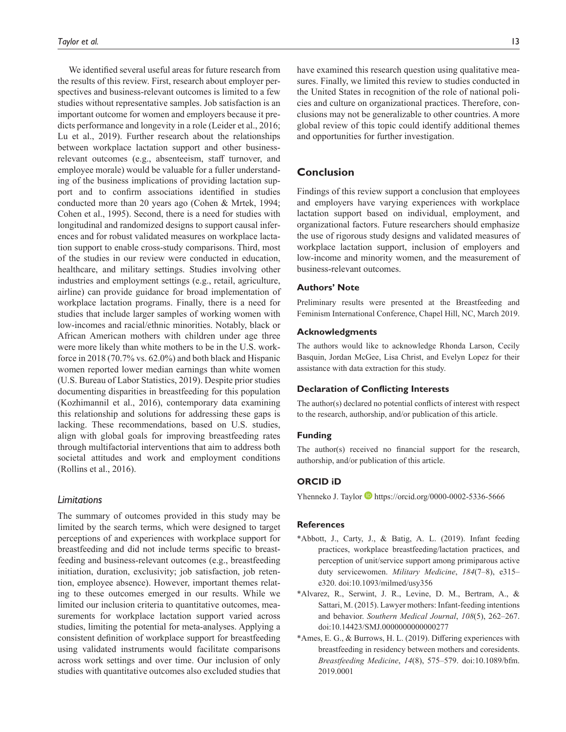We identified several useful areas for future research from the results of this review. First, research about employer perspectives and business-relevant outcomes is limited to a few studies without representative samples. Job satisfaction is an important outcome for women and employers because it predicts performance and longevity in a role [\(Leider et](#page-13-22) al., 2016; Lu et [al., 2019\)](#page-13-23). Further research about the relationships between workplace lactation support and other businessrelevant outcomes (e.g., absenteeism, staff turnover, and employee morale) would be valuable for a fuller understanding of the business implications of providing lactation support and to confirm associations identified in studies conducted more than 20 years ago ([Cohen & Mrtek, 1994](#page-13-24); [Cohen et](#page-13-25) al., 1995). Second, there is a need for studies with longitudinal and randomized designs to support causal inferences and for robust validated measures on workplace lactation support to enable cross-study comparisons. Third, most of the studies in our review were conducted in education, healthcare, and military settings. Studies involving other industries and employment settings (e.g., retail, agriculture, airline) can provide guidance for broad implementation of workplace lactation programs. Finally, there is a need for studies that include larger samples of working women with low-incomes and racial/ethnic minorities. Notably, black or African American mothers with children under age three were more likely than white mothers to be in the U.S. workforce in 2018 (70.7% vs. 62.0%) and both black and Hispanic women reported lower median earnings than white women ([U.S. Bureau of Labor Statistics, 2019\)](#page-15-0). Despite prior studies documenting disparities in breastfeeding for this population ([Kozhimannil et](#page-13-26) al., 2016), contemporary data examining this relationship and solutions for addressing these gaps is lacking. These recommendations, based on U.S. studies, align with global goals for improving breastfeeding rates through multifactorial interventions that aim to address both societal attitudes and work and employment conditions ([Rollins et](#page-14-23) al., 2016).

## *Limitations*

The summary of outcomes provided in this study may be limited by the search terms, which were designed to target perceptions of and experiences with workplace support for breastfeeding and did not include terms specific to breastfeeding and business-relevant outcomes (e.g., breastfeeding initiation, duration, exclusivity; job satisfaction, job retention, employee absence). However, important themes relating to these outcomes emerged in our results. While we limited our inclusion criteria to quantitative outcomes, measurements for workplace lactation support varied across studies, limiting the potential for meta-analyses. Applying a consistent definition of workplace support for breastfeeding using validated instruments would facilitate comparisons across work settings and over time. Our inclusion of only studies with quantitative outcomes also excluded studies that

have examined this research question using qualitative measures. Finally, we limited this review to studies conducted in the United States in recognition of the role of national policies and culture on organizational practices. Therefore, conclusions may not be generalizable to other countries. A more global review of this topic could identify additional themes and opportunities for further investigation.

# **Conclusion**

Findings of this review support a conclusion that employees and employers have varying experiences with workplace lactation support based on individual, employment, and organizational factors. Future researchers should emphasize the use of rigorous study designs and validated measures of workplace lactation support, inclusion of employers and low-income and minority women, and the measurement of business-relevant outcomes.

#### **Authors' Note**

Preliminary results were presented at the Breastfeeding and Feminism International Conference, Chapel Hill, NC, March 2019.

#### **Acknowledgments**

The authors would like to acknowledge Rhonda Larson, Cecily Basquin, Jordan McGee, Lisa Christ, and Evelyn Lopez for their assistance with data extraction for this study.

#### **Declaration of Conflicting Interests**

The author(s) declared no potential conflicts of interest with respect to the research, authorship, and/or publication of this article.

## **Funding**

The author(s) received no financial support for the research, authorship, and/or publication of this article.

## **ORCID iD**

Yhenneko J. Taylor **b**<https://orcid.org/0000-0002-5336-5666>

## **References**

- <span id="page-12-1"></span>\*Abbott, J., Carty, J., & Batig, A. L. (2019). Infant feeding practices, workplace breastfeeding/lactation practices, and perception of unit/service support among primiparous active duty servicewomen. *Military Medicine*, *184*(7–8), e315– e320. doi:10.1093/milmed/usy356
- <span id="page-12-0"></span>\*Alvarez, R., Serwint, J. R., Levine, D. M., Bertram, A., & Sattari, M. (2015). Lawyer mothers: Infant-feeding intentions and behavior. *Southern Medical Journal*, *108*(5), 262–267. doi:10.14423/SMJ.0000000000000277
- <span id="page-12-2"></span>\*Ames, E. G., & Burrows, H. L. (2019). Differing experiences with breastfeeding in residency between mothers and coresidents. *Breastfeeding Medicine*, *14*(8), 575–579. doi:10.1089/bfm. 2019.0001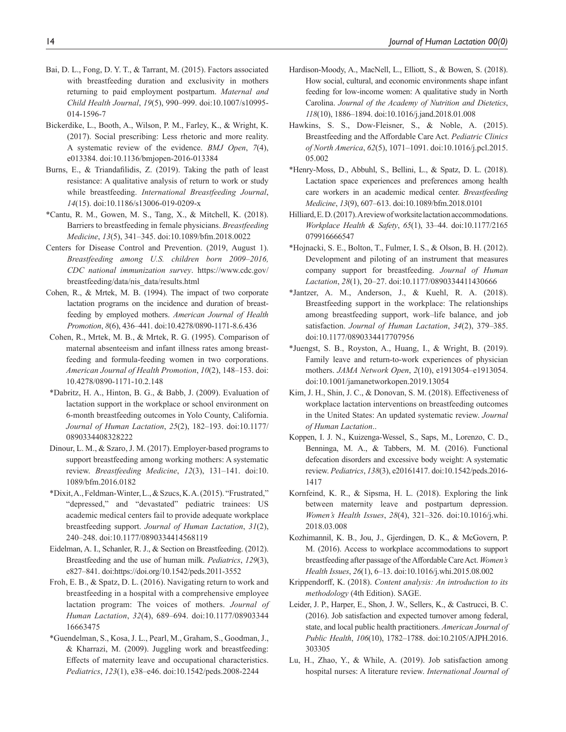- <span id="page-13-7"></span>Bai, D. L., Fong, D. Y. T., & Tarrant, M. (2015). Factors associated with breastfeeding duration and exclusivity in mothers returning to paid employment postpartum. *Maternal and Child Health Journal*, *19*(5), 990–999. doi:10.1007/s10995- 014-1596-7
- <span id="page-13-19"></span>Bickerdike, L., Booth, A., Wilson, P. M., Farley, K., & Wright, K. (2017). Social prescribing: Less rhetoric and more reality. A systematic review of the evidence. *BMJ Open*, *7*(4), e013384. doi:10.1136/bmjopen-2016-013384
- <span id="page-13-2"></span>Burns, E., & Triandafilidis, Z. (2019). Taking the path of least resistance: A qualitative analysis of return to work or study while breastfeeding. *International Breastfeeding Journal*, *14*(15). doi:10.1186/s13006-019-0209-x
- <span id="page-13-5"></span>\*Cantu, R. M., Gowen, M. S., Tang, X., & Mitchell, K. (2018). Barriers to breastfeeding in female physicians. *Breastfeeding Medicine*, *13*(5), 341–345. doi:10.1089/bfm.2018.0022
- <span id="page-13-1"></span>Centers for Disease Control and Prevention. (2019, August 1). *Breastfeeding among U.S. children born 2009–2016, CDC national immunization survey*. [https://www.cdc.gov/](https://www.cdc.gov/breastfeeding/data/nis_data/results.html) [breastfeeding/data/nis\\_data/results.html](https://www.cdc.gov/breastfeeding/data/nis_data/results.html)
- <span id="page-13-24"></span>Cohen, R., & Mrtek, M. B. (1994). The impact of two corporate lactation programs on the incidence and duration of breastfeeding by employed mothers. *American Journal of Health Promotion*, *8*(6), 436–441. doi:10.4278/0890-1171-8.6.436
- <span id="page-13-25"></span>Cohen, R., Mrtek, M. B., & Mrtek, R. G. (1995). Comparison of maternal absenteeism and infant illness rates among breastfeeding and formula-feeding women in two corporations. *American Journal of Health Promotion*, *10*(2), 148–153. doi: 10.4278/0890-1171-10.2.148
- <span id="page-13-12"></span>\*Dabritz, H. A., Hinton, B. G., & Babb, J. (2009). Evaluation of lactation support in the workplace or school environment on 6-month breastfeeding outcomes in Yolo County, California. *Journal of Human Lactation*, *25*(2), 182–193. doi:10.1177/ 0890334408328222
- <span id="page-13-10"></span>Dinour, L. M., & Szaro, J. M. (2017). Employer-based programs to support breastfeeding among working mothers: A systematic review. *Breastfeeding Medicine*, *12*(3), 131–141. doi:10. 1089/bfm.2016.0182
- <span id="page-13-13"></span>\*Dixit, A., Feldman-Winter, L., & Szucs, K. A. (2015). "Frustrated," "depressed," and "devastated" pediatric trainees: US academic medical centers fail to provide adequate workplace breastfeeding support. *Journal of Human Lactation*, *31*(2), 240–248. doi:10.1177/0890334414568119
- <span id="page-13-0"></span>Eidelman, A. I., Schanler, R. J., & Section on Breastfeeding. (2012). Breastfeeding and the use of human milk. *Pediatrics*, *129*(3), e827–841. doi:https://doi.org/10.1542/peds.2011-3552
- <span id="page-13-21"></span>Froh, E. B., & Spatz, D. L. (2016). Navigating return to work and breastfeeding in a hospital with a comprehensive employee lactation program: The voices of mothers. *Journal of Human Lactation*, *32*(4), 689–694. doi:10.1177/08903344 16663475
- <span id="page-13-17"></span>\*Guendelman, S., Kosa, J. L., Pearl, M., Graham, S., Goodman, J., & Kharrazi, M. (2009). Juggling work and breastfeeding: Effects of maternity leave and occupational characteristics. *Pediatrics*, *123*(1), e38–e46. doi:10.1542/peds.2008-2244
- <span id="page-13-4"></span>Hardison-Moody, A., MacNell, L., Elliott, S., & Bowen, S. (2018). How social, cultural, and economic environments shape infant feeding for low-income women: A qualitative study in North Carolina. *Journal of the Academy of Nutrition and Dietetics*, *118*(10), 1886–1894. doi:10.1016/j.jand.2018.01.008
- <span id="page-13-9"></span>Hawkins, S. S., Dow-Fleisner, S., & Noble, A. (2015). Breastfeeding and the Affordable Care Act. *Pediatric Clinics of North America*, *62*(5), 1071–1091. doi:10.1016/j.pcl.2015. 05.002
- <span id="page-13-14"></span>\*Henry-Moss, D., Abbuhl, S., Bellini, L., & Spatz, D. L. (2018). Lactation space experiences and preferences among health care workers in an academic medical center. *Breastfeeding Medicine*, *13*(9), 607–613. doi:10.1089/bfm.2018.0101
- <span id="page-13-11"></span>Hilliard, E. D. (2017). A review of worksite lactation accommodations. *Workplace Health & Safety*, *65*(1), 33–44. doi:10.1177/2165 079916666547
- <span id="page-13-16"></span>\*Hojnacki, S. E., Bolton, T., Fulmer, I. S., & Olson, B. H. (2012). Development and piloting of an instrument that measures company support for breastfeeding. *Journal of Human Lactation*, *28*(1), 20–27. doi:10.1177/0890334411430666
- <span id="page-13-6"></span>\*Jantzer, A. M., Anderson, J., & Kuehl, R. A. (2018). Breastfeeding support in the workplace: The relationships among breastfeeding support, work–life balance, and job satisfaction. *Journal of Human Lactation*, *34*(2), 379–385. doi:10.1177/0890334417707956
- <span id="page-13-15"></span>\*Juengst, S. B., Royston, A., Huang, I., & Wright, B. (2019). Family leave and return-to-work experiences of physician mothers. *JAMA Network Open*, *2*(10), e1913054–e1913054. doi:10.1001/jamanetworkopen.2019.13054
- <span id="page-13-8"></span>Kim, J. H., Shin, J. C., & Donovan, S. M. (2018). Effectiveness of workplace lactation interventions on breastfeeding outcomes in the United States: An updated systematic review. *Journal of Human Lactation*..
- <span id="page-13-20"></span>Koppen, I. J. N., Kuizenga-Wessel, S., Saps, M., Lorenzo, C. D., Benninga, M. A., & Tabbers, M. M. (2016). Functional defecation disorders and excessive body weight: A systematic review. *Pediatrics*, *138*(3), e20161417. doi:10.1542/peds.2016- 1417
- <span id="page-13-3"></span>Kornfeind, K. R., & Sipsma, H. L. (2018). Exploring the link between maternity leave and postpartum depression. *Women's Health Issues*, *28*(4), 321–326. doi:10.1016/j.whi. 2018.03.008
- <span id="page-13-26"></span>Kozhimannil, K. B., Jou, J., Gjerdingen, D. K., & McGovern, P. M. (2016). Access to workplace accommodations to support breastfeeding after passage of the Affordable Care Act. *Women's Health Issues*, *26*(1), 6–13. doi:10.1016/j.whi.2015.08.002
- <span id="page-13-18"></span>Krippendorff, K. (2018). *Content analysis: An introduction to its methodology* (4th Edition). SAGE.
- <span id="page-13-22"></span>Leider, J. P., Harper, E., Shon, J. W., Sellers, K., & Castrucci, B. C. (2016). Job satisfaction and expected turnover among federal, state, and local public health practitioners. *American Journal of Public Health*, *106*(10), 1782–1788. doi:10.2105/AJPH.2016. 303305
- <span id="page-13-23"></span>Lu, H., Zhao, Y., & While, A. (2019). Job satisfaction among hospital nurses: A literature review. *International Journal of*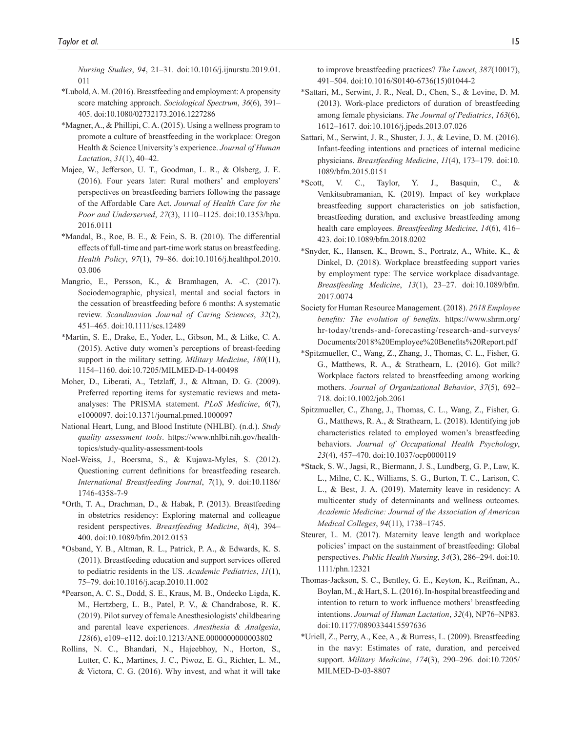*Nursing Studies*, *94*, 21–31. doi:10.1016/j.ijnurstu.2019.01. 011

- <span id="page-14-5"></span>\*Lubold, A. M. (2016). Breastfeeding and employment: A propensity score matching approach. *Sociological Spectrum*, *36*(6), 391– 405. doi:10.1080/02732173.2016.1227286
- <span id="page-14-17"></span>\*Magner, A., & Phillipi, C. A. (2015). Using a wellness program to promote a culture of breastfeeding in the workplace: Oregon Health & Science University's experience. *Journal of Human Lactation*, *31*(1), 40–42.
- <span id="page-14-3"></span>Majee, W., Jefferson, U. T., Goodman, L. R., & Olsberg, J. E. (2016). Four years later: Rural mothers' and employers' perspectives on breastfeeding barriers following the passage of the Affordable Care Act. *Journal of Health Care for the Poor and Underserved*, *27*(3), 1110–1125. doi:10.1353/hpu. 2016.0111
- <span id="page-14-18"></span>\*Mandal, B., Roe, B. E., & Fein, S. B. (2010). The differential effects of full-time and part-time work status on breastfeeding. *Health Policy*, *97*(1), 79–86. doi:10.1016/j.healthpol.2010. 03.006
- <span id="page-14-0"></span>Mangrio, E., Persson, K., & Bramhagen, A. -C. (2017). Sociodemographic, physical, mental and social factors in the cessation of breastfeeding before 6 months: A systematic review. *Scandinavian Journal of Caring Sciences*, *32*(2), 451–465. doi:10.1111/scs.12489
- <span id="page-14-14"></span>\*Martin, S. E., Drake, E., Yoder, L., Gibson, M., & Litke, C. A. (2015). Active duty women's perceptions of breast-feeding support in the military setting. *Military Medicine*, *180*(11), 1154–1160. doi:10.7205/MILMED-D-14-00498
- <span id="page-14-10"></span>Moher, D., Liberati, A., Tetzlaff, J., & Altman, D. G. (2009). Preferred reporting items for systematic reviews and metaanalyses: The PRISMA statement. *PLoS Medicine*, *6*(7), e1000097. doi:10.1371/journal.pmed.1000097
- <span id="page-14-21"></span>National Heart, Lung, and Blood Institute (NHLBI). (n.d.). *Study quality assessment tools*. [https://www.nhlbi.nih.gov/health](https://www.nhlbi.nih.gov/health-topics/study-quality-assessment-tools)[topics/study-quality-assessment-tools](https://www.nhlbi.nih.gov/health-topics/study-quality-assessment-tools)
- <span id="page-14-11"></span>Noel-Weiss, J., Boersma, S., & Kujawa-Myles, S. (2012). Questioning current definitions for breastfeeding research. *International Breastfeeding Journal*, *7*(1), 9. doi:10.1186/ 1746-4358-7-9
- <span id="page-14-13"></span>\*Orth, T. A., Drachman, D., & Habak, P. (2013). Breastfeeding in obstetrics residency: Exploring maternal and colleague resident perspectives. *Breastfeeding Medicine*, *8*(4), 394– 400. doi:10.1089/bfm.2012.0153
- <span id="page-14-16"></span>\*Osband, Y. B., Altman, R. L., Patrick, P. A., & Edwards, K. S. (2011). Breastfeeding education and support services offered to pediatric residents in the US. *Academic Pediatrics*, *11*(1), 75–79. doi:10.1016/j.acap.2010.11.002
- <span id="page-14-15"></span>\*Pearson, A. C. S., Dodd, S. E., Kraus, M. B., Ondecko Ligda, K. M., Hertzberg, L. B., Patel, P. V., & Chandrabose, R. K. (2019). Pilot survey of female Anesthesiologists' childbearing and parental leave experiences. *Anesthesia & Analgesia*, *128*(6), e109–e112. doi:10.1213/ANE.0000000000003802
- <span id="page-14-23"></span>Rollins, N. C., Bhandari, N., Hajeebhoy, N., Horton, S., Lutter, C. K., Martines, J. C., Piwoz, E. G., Richter, L. M., & Victora, C. G. (2016). Why invest, and what it will take

to improve breastfeeding practices? *The Lancet*, *387*(10017), 491–504. doi:10.1016/S0140-6736(15)01044-2

- <span id="page-14-19"></span>\*Sattari, M., Serwint, J. R., Neal, D., Chen, S., & Levine, D. M. (2013). Work-place predictors of duration of breastfeeding among female physicians. *The Journal of Pediatrics*, *163*(6), 1612–1617. doi:10.1016/j.jpeds.2013.07.026
- <span id="page-14-22"></span>Sattari, M., Serwint, J. R., Shuster, J. J., & Levine, D. M. (2016). Infant-feeding intentions and practices of internal medicine physicians. *Breastfeeding Medicine*, *11*(4), 173–179. doi:10. 1089/bfm.2015.0151
- <span id="page-14-6"></span>\*Scott, V. C., Taylor, Y. J., Basquin, C., & Venkitsubramanian, K. (2019). Impact of key workplace breastfeeding support characteristics on job satisfaction, breastfeeding duration, and exclusive breastfeeding among health care employees. *Breastfeeding Medicine*, *14*(6), 416– 423. doi:10.1089/bfm.2018.0202
- <span id="page-14-7"></span>\*Snyder, K., Hansen, K., Brown, S., Portratz, A., White, K., & Dinkel, D. (2018). Workplace breastfeeding support varies by employment type: The service workplace disadvantage. *Breastfeeding Medicine*, *13*(1), 23–27. doi:10.1089/bfm. 2017.0074
- <span id="page-14-8"></span>Society for Human Resource Management. (2018). *2018 Employee benefits: The evolution of benefits*. [https://www.shrm.org/](https://www.shrm.org/hr-today/trends-and-forecasting/research-and-surveys/Documents/2018%20Employee%20Benefits%20Report.pdf) [hr-today/trends-and-forecasting/research-and-surveys/](https://www.shrm.org/hr-today/trends-and-forecasting/research-and-surveys/Documents/2018%20Employee%20Benefits%20Report.pdf) [Documents/2018%20Employee%20Benefits%20Report.pdf](https://www.shrm.org/hr-today/trends-and-forecasting/research-and-surveys/Documents/2018%20Employee%20Benefits%20Report.pdf)
- <span id="page-14-4"></span>\*Spitzmueller, C., Wang, Z., Zhang, J., Thomas, C. L., Fisher, G. G., Matthews, R. A., & Strathearn, L. (2016). Got milk? Workplace factors related to breastfeeding among working mothers. *Journal of Organizational Behavior*, *37*(5), 692– 718. doi:10.1002/job.2061
- <span id="page-14-2"></span>Spitzmueller, C., Zhang, J., Thomas, C. L., Wang, Z., Fisher, G. G., Matthews, R. A., & Strathearn, L. (2018). Identifying job characteristics related to employed women's breastfeeding behaviors. *Journal of Occupational Health Psychology*, *23*(4), 457–470. doi:10.1037/ocp0000119
- <span id="page-14-20"></span>\*Stack, S. W., Jagsi, R., Biermann, J. S., Lundberg, G. P., Law, K. L., Milne, C. K., Williams, S. G., Burton, T. C., Larison, C. L., & Best, J. A. (2019). Maternity leave in residency: A multicenter study of determinants and wellness outcomes. *Academic Medicine: Journal of the Association of American Medical Colleges*, *94*(11), 1738–1745.
- <span id="page-14-9"></span>Steurer, L. M. (2017). Maternity leave length and workplace policies' impact on the sustainment of breastfeeding: Global perspectives. *Public Health Nursing*, *34*(3), 286–294. doi:10. 1111/phn.12321
- <span id="page-14-1"></span>Thomas-Jackson, S. C., Bentley, G. E., Keyton, K., Reifman, A., Boylan, M., & Hart, S. L. (2016). In-hospital breastfeeding and intention to return to work influence mothers' breastfeeding intentions. *Journal of Human Lactation*, *32*(4), NP76–NP83. doi:10.1177/0890334415597636
- <span id="page-14-12"></span>\*Uriell, Z., Perry, A., Kee, A., & Burress, L. (2009). Breastfeeding in the navy: Estimates of rate, duration, and perceived support. *Military Medicine*, *174*(3), 290–296. doi:10.7205/ MILMED-D-03-8807